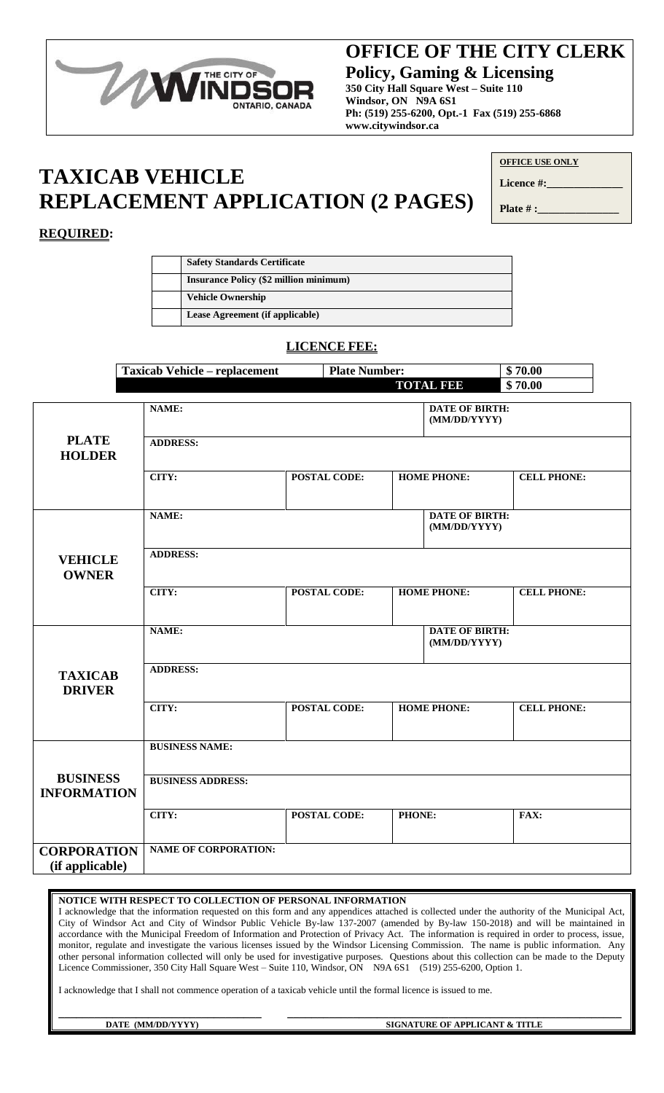

# **OFFICE OF THE CITY CLERK OFFICE OF THE CITY CLERK**

**Policy, Gaming & Licensing Policy, Gaming & Licensing 350 City Hall Square West – Suite 110 Windsor, ON N9A 6S1 Windsor, ON N9A 6S1 Ph: (519) 255-6200, Opt.-1 Fax (519) 255-6868 Ph: (519) 255-6200, Opt.-1 Fax (519) 255-6868 www.citywindsor.ca www.citywindsor.ca**

# **TAXICAB VEHICLE REPLACEMENT APPLICATION (2 PAGES)**

Licence #: **Plate # :** 

## **REQUIRED:**

| <b>Safety Standards Certificate</b>           |
|-----------------------------------------------|
| <b>Insurance Policy (\$2 million minimum)</b> |
| <b>Vehicle Ownership</b>                      |
| Lease Agreement (if applicable)               |

### **LICENCE FEE:**

|                                       | <b>Taxicab Vehicle - replacement</b> | <b>Plate Number:</b> |                                       | \$70.00            |
|---------------------------------------|--------------------------------------|----------------------|---------------------------------------|--------------------|
|                                       |                                      |                      | <b>TOTAL FEE</b>                      | \$70.00            |
|                                       | NAME:                                |                      | <b>DATE OF BIRTH:</b><br>(MM/DD/YYYY) |                    |
| <b>PLATE</b><br><b>HOLDER</b>         | <b>ADDRESS:</b>                      |                      |                                       |                    |
|                                       | CITY:                                | <b>POSTAL CODE:</b>  | <b>HOME PHONE:</b>                    | <b>CELL PHONE:</b> |
|                                       | NAME:                                |                      | <b>DATE OF BIRTH:</b><br>(MM/DD/YYYY) |                    |
| <b>VEHICLE</b><br><b>OWNER</b>        | <b>ADDRESS:</b>                      |                      |                                       |                    |
|                                       | CITY:                                | <b>POSTAL CODE:</b>  | <b>HOME PHONE:</b>                    | <b>CELL PHONE:</b> |
|                                       | NAME:                                |                      | <b>DATE OF BIRTH:</b><br>(MM/DD/YYYY) |                    |
| <b>TAXICAB</b><br><b>DRIVER</b>       | <b>ADDRESS:</b>                      |                      |                                       |                    |
|                                       | CITY:                                | <b>POSTAL CODE:</b>  | <b>HOME PHONE:</b>                    | <b>CELL PHONE:</b> |
|                                       | <b>BUSINESS NAME:</b>                |                      |                                       |                    |
| <b>BUSINESS</b><br><b>INFORMATION</b> | <b>BUSINESS ADDRESS:</b>             |                      |                                       |                    |
|                                       | CITY:                                | <b>POSTAL CODE:</b>  | PHONE:                                | FAX:               |
| <b>CORPORATION</b><br>(if applicable) | <b>NAME OF CORPORATION:</b>          |                      |                                       |                    |

#### **NOTICE WITH RESPECT TO COLLECTION OF PERSONAL INFORMATION**

I acknowledge that the information requested on this form and any appendices attached is collected under the authority of the Municipal Act, City of Windsor Act and City of Windsor Public Vehicle By-law 137-2007 (amended by By-law 150-2018) and will be maintained in accordance with the Municipal Freedom of Information and Protection of Privacy Act. The information is required in order to process, issue, monitor, regulate and investigate the various licenses issued by the Windsor Licensing Commission. The name is public information. Any other personal information collected will only be used for investigative purposes. Questions about this collection can be made to the Deputy Licence Commissioner, 350 City Hall Square West – Suite 110, Windsor, ON N9A 6S1 (519) 255-6200, Option 1.

I acknowledge that I shall not commence operation of a taxicab vehicle until the formal licence is issued to me.